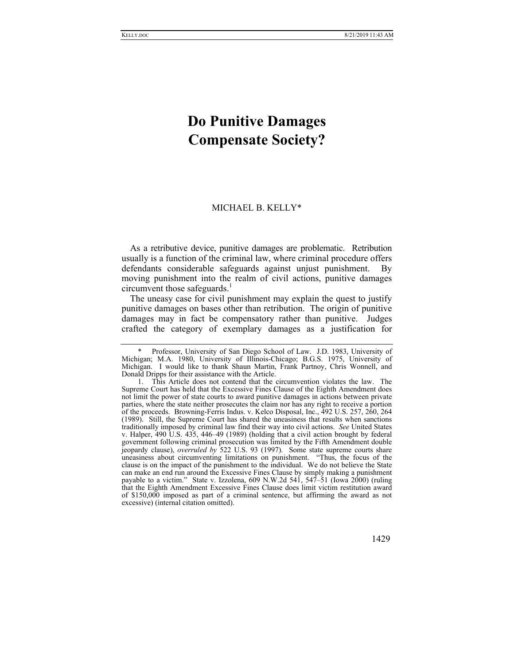## **Do Punitive Damages Compensate Society?**

## MICHAEL B. KELLY\*

As a retributive device, punitive damages are problematic. Retribution usually is a function of the criminal law, where criminal procedure offers defendants considerable safeguards against unjust punishment. By moving punishment into the realm of civil actions, punitive damages circumvent those safeguards.<sup>1</sup>

The uneasy case for civil punishment may explain the quest to justify punitive damages on bases other than retribution. The origin of punitive damages may in fact be compensatory rather than punitive. Judges crafted the category of exemplary damages as a justification for

Professor, University of San Diego School of Law. J.D. 1983, University of Michigan; M.A. 1980, University of Illinois-Chicago; B.G.S. 1975, University of Michigan. I would like to thank Shaun Martin, Frank Partnoy, Chris Wonnell, and Donald Dripps for their assistance with the Article.

 <sup>1.</sup> This Article does not contend that the circumvention violates the law. The Supreme Court has held that the Excessive Fines Clause of the Eighth Amendment does not limit the power of state courts to award punitive damages in actions between private parties, where the state neither prosecutes the claim nor has any right to receive a portion of the proceeds. Browning-Ferris Indus. v. Kelco Disposal, Inc., 492 U.S. 257, 260, 264 (1989). Still, the Supreme Court has shared the uneasiness that results when sanctions traditionally imposed by criminal law find their way into civil actions. *See* United States v. Halper, 490 U.S. 435, 446–49 (1989) (holding that a civil action brought by federal government following criminal prosecution was limited by the Fifth Amendment double jeopardy clause), *overruled by* 522 U.S. 93 (1997). Some state supreme courts share uneasiness about circumventing limitations on punishment. "Thus, the focus of the clause is on the impact of the punishment to the individual. We do not believe the State can make an end run around the Excessive Fines Clause by simply making a punishment payable to a victim." State v. Izzolena, 609 N.W.2d 541, 547–51 (Iowa 2000) (ruling that the Eighth Amendment Excessive Fines Clause does limit victim restitution award of \$150,000 imposed as part of a criminal sentence, but affirming the award as not excessive) (internal citation omitted).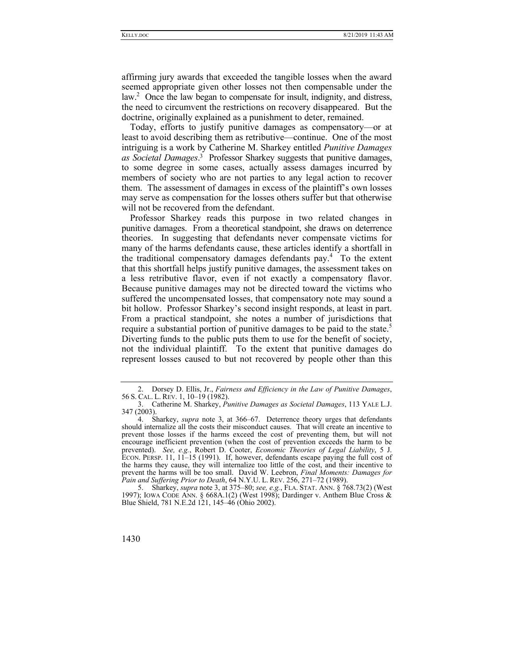affirming jury awards that exceeded the tangible losses when the award seemed appropriate given other losses not then compensable under the law.2 Once the law began to compensate for insult, indignity, and distress, the need to circumvent the restrictions on recovery disappeared. But the doctrine, originally explained as a punishment to deter, remained.

Today, efforts to justify punitive damages as compensatory—or at least to avoid describing them as retributive—continue. One of the most intriguing is a work by Catherine M. Sharkey entitled *Punitive Damages as Societal Damages*. 3 Professor Sharkey suggests that punitive damages, to some degree in some cases, actually assess damages incurred by members of society who are not parties to any legal action to recover them. The assessment of damages in excess of the plaintiff's own losses may serve as compensation for the losses others suffer but that otherwise will not be recovered from the defendant.

Professor Sharkey reads this purpose in two related changes in punitive damages. From a theoretical standpoint, she draws on deterrence theories. In suggesting that defendants never compensate victims for many of the harms defendants cause, these articles identify a shortfall in the traditional compensatory damages defendants pay.<sup>4</sup> To the extent that this shortfall helps justify punitive damages, the assessment takes on a less retributive flavor, even if not exactly a compensatory flavor. Because punitive damages may not be directed toward the victims who suffered the uncompensated losses, that compensatory note may sound a bit hollow. Professor Sharkey's second insight responds, at least in part. From a practical standpoint, she notes a number of jurisdictions that require a substantial portion of punitive damages to be paid to the state.<sup>5</sup> Diverting funds to the public puts them to use for the benefit of society, not the individual plaintiff. To the extent that punitive damages do represent losses caused to but not recovered by people other than this

 <sup>5.</sup> Sharkey, *supra* note 3, at 375–80; *see, e.g.*, FLA. STAT. ANN. § 768.73(2) (West 1997); IOWA CODE ANN. § 668A.1(2) (West 1998); Dardinger v. Anthem Blue Cross & Blue Shield, 781 N.E.2d 121, 145–46 (Ohio 2002).



 <sup>2.</sup> Dorsey D. Ellis, Jr., *Fairness and Efficiency in the Law of Punitive Damages*, 56 S. CAL. L. REV. 1, 10–19 (1982).

 <sup>3.</sup> Catherine M. Sharkey, *Punitive Damages as Societal Damages*, 113 YALE L.J. 347 (2003).

 <sup>4.</sup> Sharkey, *supra* note 3, at 366–67. Deterrence theory urges that defendants should internalize all the costs their misconduct causes. That will create an incentive to prevent those losses if the harms exceed the cost of preventing them, but will not encourage inefficient prevention (when the cost of prevention exceeds the harm to be prevented). *See, e.g.*, Robert D. Cooter, *Economic Theories of Legal Liability*, 5 J. ECON. PERSP. 11, 11–15 (1991). If, however, defendants escape paying the full cost of the harms they cause, they will internalize too little of the cost, and their incentive to prevent the harms will be too small. David W. Leebron, *Final Moments: Damages for Pain and Suffering Prior to Death*, 64 N.Y.U. L. REV. 256, 271–72 (1989).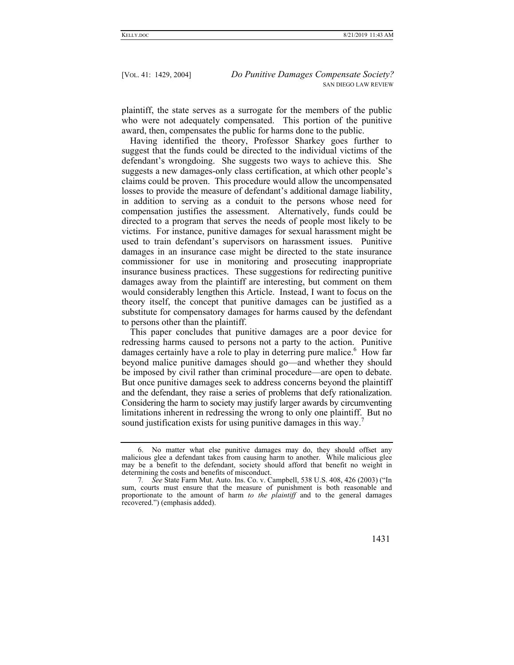plaintiff, the state serves as a surrogate for the members of the public who were not adequately compensated. This portion of the punitive award, then, compensates the public for harms done to the public.

Having identified the theory, Professor Sharkey goes further to suggest that the funds could be directed to the individual victims of the defendant's wrongdoing. She suggests two ways to achieve this. She suggests a new damages-only class certification, at which other people's claims could be proven. This procedure would allow the uncompensated losses to provide the measure of defendant's additional damage liability, in addition to serving as a conduit to the persons whose need for compensation justifies the assessment. Alternatively, funds could be directed to a program that serves the needs of people most likely to be victims. For instance, punitive damages for sexual harassment might be used to train defendant's supervisors on harassment issues. Punitive damages in an insurance case might be directed to the state insurance commissioner for use in monitoring and prosecuting inappropriate insurance business practices. These suggestions for redirecting punitive damages away from the plaintiff are interesting, but comment on them would considerably lengthen this Article. Instead, I want to focus on the theory itself, the concept that punitive damages can be justified as a substitute for compensatory damages for harms caused by the defendant to persons other than the plaintiff.

This paper concludes that punitive damages are a poor device for redressing harms caused to persons not a party to the action. Punitive damages certainly have a role to play in deterring pure malice.<sup>6</sup> How far beyond malice punitive damages should go—and whether they should be imposed by civil rather than criminal procedure—are open to debate. But once punitive damages seek to address concerns beyond the plaintiff and the defendant, they raise a series of problems that defy rationalization. Considering the harm to society may justify larger awards by circumventing limitations inherent in redressing the wrong to only one plaintiff. But no sound justification exists for using punitive damages in this way.<sup>7</sup>

<sup>7</sup>*. See* State Farm Mut. Auto. Ins. Co. v. Campbell, 538 U.S. 408, 426 (2003) ("In sum, courts must ensure that the measure of punishment is both reasonable and proportionate to the amount of harm *to the plaintiff* and to the general damages recovered.") (emphasis added).



 <sup>6.</sup> No matter what else punitive damages may do, they should offset any malicious glee a defendant takes from causing harm to another. While malicious glee may be a benefit to the defendant, society should afford that benefit no weight in determining the costs and benefits of misconduct.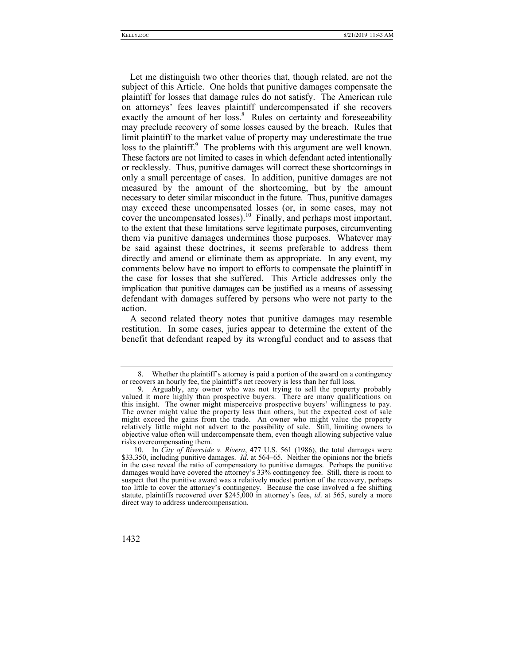Let me distinguish two other theories that, though related, are not the subject of this Article. One holds that punitive damages compensate the plaintiff for losses that damage rules do not satisfy. The American rule on attorneys' fees leaves plaintiff undercompensated if she recovers exactly the amount of her loss.<sup>8</sup> Rules on certainty and foreseeability may preclude recovery of some losses caused by the breach. Rules that limit plaintiff to the market value of property may underestimate the true loss to the plaintiff.<sup>9</sup> The problems with this argument are well known. These factors are not limited to cases in which defendant acted intentionally or recklessly. Thus, punitive damages will correct these shortcomings in only a small percentage of cases. In addition, punitive damages are not measured by the amount of the shortcoming, but by the amount necessary to deter similar misconduct in the future. Thus, punitive damages may exceed these uncompensated losses (or, in some cases, may not cover the uncompensated losses).<sup>10</sup> Finally, and perhaps most important, to the extent that these limitations serve legitimate purposes, circumventing them via punitive damages undermines those purposes. Whatever may be said against these doctrines, it seems preferable to address them directly and amend or eliminate them as appropriate. In any event, my comments below have no import to efforts to compensate the plaintiff in the case for losses that she suffered. This Article addresses only the implication that punitive damages can be justified as a means of assessing defendant with damages suffered by persons who were not party to the action.

A second related theory notes that punitive damages may resemble restitution. In some cases, juries appear to determine the extent of the benefit that defendant reaped by its wrongful conduct and to assess that

 <sup>8.</sup> Whether the plaintiff's attorney is paid a portion of the award on a contingency or recovers an hourly fee, the plaintiff's net recovery is less than her full loss.

 <sup>9.</sup> Arguably, any owner who was not trying to sell the property probably valued it more highly than prospective buyers. There are many qualifications on this insight. The owner might misperceive prospective buyers' willingness to pay. The owner might value the property less than others, but the expected cost of sale might exceed the gains from the trade. An owner who might value the property relatively little might not advert to the possibility of sale. Still, limiting owners to objective value often will undercompensate them, even though allowing subjective value risks overcompensating them.

 <sup>10.</sup> In *City of Riverside v. Rivera*, 477 U.S. 561 (1986), the total damages were \$33,350, including punitive damages. *Id*. at 564–65. Neither the opinions nor the briefs in the case reveal the ratio of compensatory to punitive damages. Perhaps the punitive damages would have covered the attorney's 33% contingency fee. Still, there is room to suspect that the punitive award was a relatively modest portion of the recovery, perhaps too little to cover the attorney's contingency. Because the case involved a fee shifting statute, plaintiffs recovered over \$245,000 in attorney's fees, *id*. at 565, surely a more direct way to address undercompensation.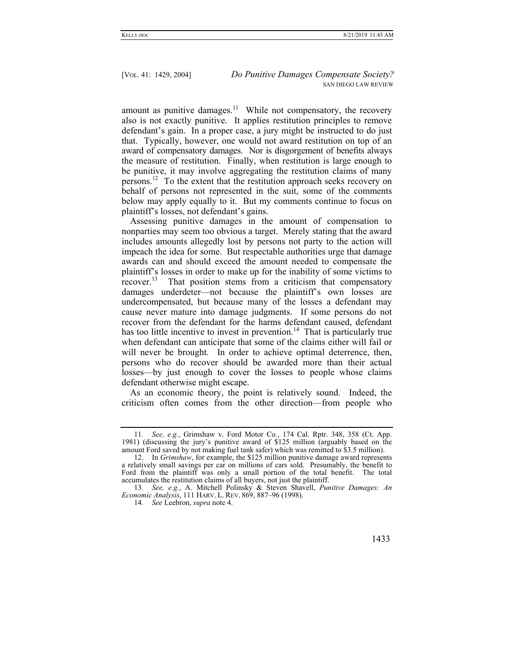amount as punitive damages.<sup>11</sup> While not compensatory, the recovery also is not exactly punitive. It applies restitution principles to remove defendant's gain. In a proper case, a jury might be instructed to do just that. Typically, however, one would not award restitution on top of an award of compensatory damages. Nor is disgorgement of benefits always the measure of restitution. Finally, when restitution is large enough to be punitive, it may involve aggregating the restitution claims of many persons.<sup>12</sup> To the extent that the restitution approach seeks recovery on behalf of persons not represented in the suit, some of the comments below may apply equally to it. But my comments continue to focus on plaintiff's losses, not defendant's gains.

Assessing punitive damages in the amount of compensation to nonparties may seem too obvious a target. Merely stating that the award includes amounts allegedly lost by persons not party to the action will impeach the idea for some. But respectable authorities urge that damage awards can and should exceed the amount needed to compensate the plaintiff's losses in order to make up for the inability of some victims to  $recover.<sup>13</sup>$  That position stems from a criticism that compensatory damages underdeter—not because the plaintiff's own losses are undercompensated, but because many of the losses a defendant may cause never mature into damage judgments. If some persons do not recover from the defendant for the harms defendant caused, defendant has too little incentive to invest in prevention.<sup>14</sup> That is particularly true when defendant can anticipate that some of the claims either will fail or will never be brought. In order to achieve optimal deterrence, then, persons who do recover should be awarded more than their actual losses—by just enough to cover the losses to people whose claims defendant otherwise might escape.

As an economic theory, the point is relatively sound. Indeed, the criticism often comes from the other direction—from people who

<sup>11</sup>*. See, e.g.*, Grimshaw v. Ford Motor Co*.*, 174 Cal. Rptr. 348, 358 (Ct. App. 1981) (discussing the jury's punitive award of \$125 million (arguably based on the amount Ford saved by not making fuel tank safer) which was remitted to \$3.5 million).

 <sup>12.</sup> In *Grimshaw*, for example, the \$125 million punitive damage award represents a relatively small savings per car on millions of cars sold. Presumably, the benefit to Ford from the plaintiff was only a small portion of the total benefit. The total accumulates the restitution claims of all buyers, not just the plaintiff.

<sup>13</sup>*. See, e.g.*, A. Mitchell Polinsky & Steven Shavell, *Punitive Damages: An Economic Analysis*, 111 HARV. L. REV. 869, 887–96 (1998).

<sup>14</sup>*. See* Leebron, *supra* note 4.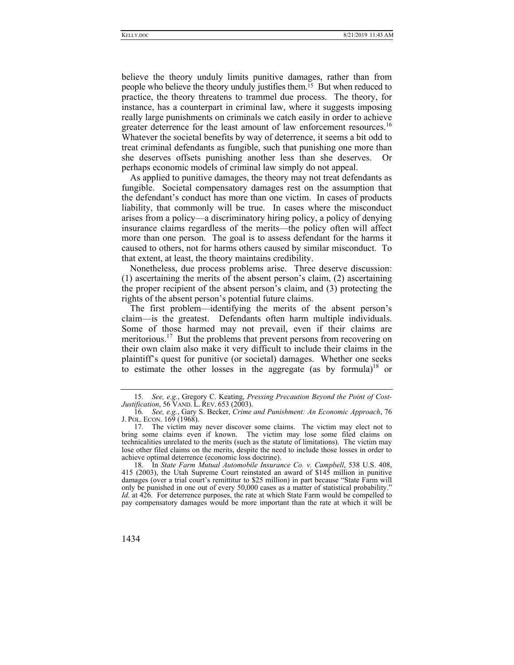believe the theory unduly limits punitive damages, rather than from people who believe the theory unduly justifies them.<sup>15</sup> But when reduced to practice, the theory threatens to trammel due process. The theory, for instance, has a counterpart in criminal law, where it suggests imposing really large punishments on criminals we catch easily in order to achieve greater deterrence for the least amount of law enforcement resources.<sup>16</sup> Whatever the societal benefits by way of deterrence, it seems a bit odd to treat criminal defendants as fungible, such that punishing one more than she deserves offsets punishing another less than she deserves. Or perhaps economic models of criminal law simply do not appeal.

As applied to punitive damages, the theory may not treat defendants as fungible. Societal compensatory damages rest on the assumption that the defendant's conduct has more than one victim. In cases of products liability, that commonly will be true. In cases where the misconduct arises from a policy—a discriminatory hiring policy, a policy of denying insurance claims regardless of the merits—the policy often will affect more than one person. The goal is to assess defendant for the harms it caused to others, not for harms others caused by similar misconduct. To that extent, at least, the theory maintains credibility.

Nonetheless, due process problems arise. Three deserve discussion: (1) ascertaining the merits of the absent person's claim, (2) ascertaining the proper recipient of the absent person's claim, and (3) protecting the rights of the absent person's potential future claims.

The first problem—identifying the merits of the absent person's claim—is the greatest. Defendants often harm multiple individuals. Some of those harmed may not prevail, even if their claims are meritorious.<sup>17</sup> But the problems that prevent persons from recovering on their own claim also make it very difficult to include their claims in the plaintiff's quest for punitive (or societal) damages. Whether one seeks to estimate the other losses in the aggregate (as by formula)<sup>18</sup> or

 <sup>18.</sup> In *State Farm Mutual Automobile Insurance Co. v. Campbell*, 538 U.S. 408, 415 (2003), the Utah Supreme Court reinstated an award of \$145 million in punitive damages (over a trial court's remittitur to \$25 million) in part because "State Farm will only be punished in one out of every 50,000 cases as a matter of statistical probability." *Id.* at 426. For deterrence purposes, the rate at which State Farm would be compelled to pay compensatory damages would be more important than the rate at which it will be



<sup>15</sup>*. See, e.g.*, Gregory C. Keating, *Pressing Precaution Beyond the Point of Cost-Justification*, 56 VAND. L. REV. 653 (2003).

<sup>16</sup>*. See, e.g.*, Gary S. Becker, *Crime and Punishment: An Economic Approach*, 76 J. POL. ECON. 169 (1968).

 <sup>17.</sup> The victim may never discover some claims. The victim may elect not to bring some claims even if known. The victim may lose some filed claims on technicalities unrelated to the merits (such as the statute of limitations). The victim may lose other filed claims on the merits, despite the need to include those losses in order to achieve optimal deterrence (economic loss doctrine).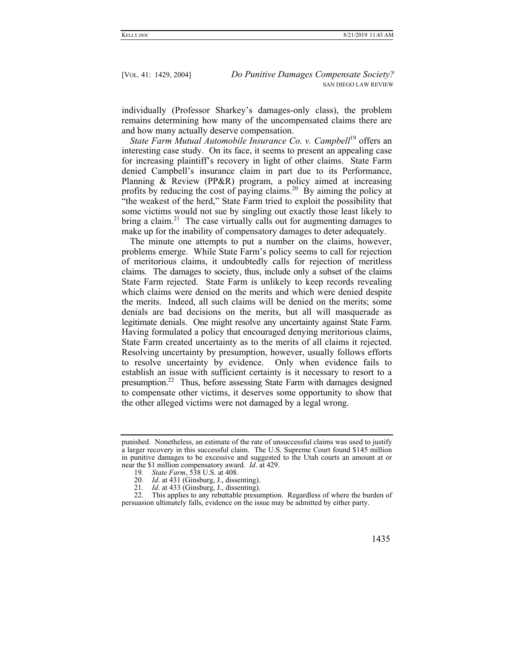individually (Professor Sharkey's damages-only class), the problem remains determining how many of the uncompensated claims there are and how many actually deserve compensation.

*State Farm Mutual Automobile Insurance Co. v. Campbell*19 offers an interesting case study. On its face, it seems to present an appealing case for increasing plaintiff's recovery in light of other claims. State Farm denied Campbell's insurance claim in part due to its Performance, Planning & Review (PP&R) program, a policy aimed at increasing profits by reducing the cost of paying claims.<sup>20</sup> By aiming the policy at "the weakest of the herd," State Farm tried to exploit the possibility that some victims would not sue by singling out exactly those least likely to bring a claim. $21$  The case virtually calls out for augmenting damages to make up for the inability of compensatory damages to deter adequately.

The minute one attempts to put a number on the claims, however, problems emerge. While State Farm's policy seems to call for rejection of meritorious claims, it undoubtedly calls for rejection of meritless claims. The damages to society, thus, include only a subset of the claims State Farm rejected. State Farm is unlikely to keep records revealing which claims were denied on the merits and which were denied despite the merits. Indeed, all such claims will be denied on the merits; some denials are bad decisions on the merits, but all will masquerade as legitimate denials. One might resolve any uncertainty against State Farm. Having formulated a policy that encouraged denying meritorious claims, State Farm created uncertainty as to the merits of all claims it rejected. Resolving uncertainty by presumption, however, usually follows efforts to resolve uncertainty by evidence. Only when evidence fails to establish an issue with sufficient certainty is it necessary to resort to a presumption.22 Thus, before assessing State Farm with damages designed to compensate other victims, it deserves some opportunity to show that the other alleged victims were not damaged by a legal wrong.

punished. Nonetheless, an estimate of the rate of unsuccessful claims was used to justify a larger recovery in this successful claim. The U.S. Supreme Court found \$145 million in punitive damages to be excessive and suggested to the Utah courts an amount at or near the \$1 million compensatory award. *Id*. at 429.

<sup>19</sup>*. State Farm*, 538 U.S. at 408.

<sup>20</sup>*. Id*. at 431 (Ginsburg, J., dissenting).

<sup>21</sup>*. Id*. at 433 (Ginsburg, J., dissenting).

 <sup>22.</sup> This applies to any rebuttable presumption. Regardless of where the burden of persuasion ultimately falls, evidence on the issue may be admitted by either party.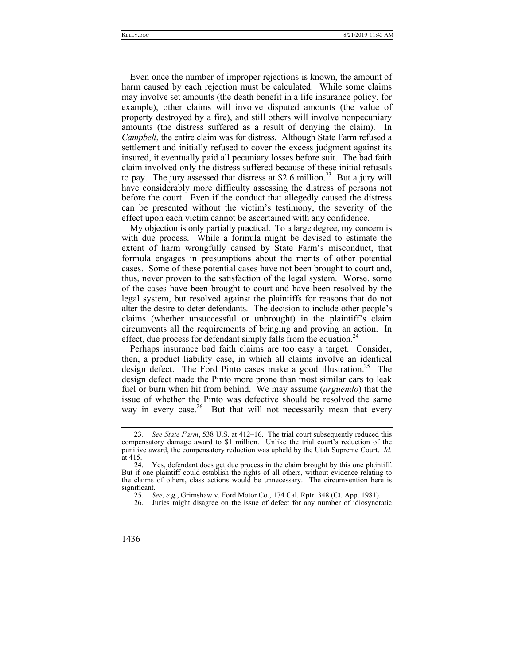Even once the number of improper rejections is known, the amount of harm caused by each rejection must be calculated. While some claims may involve set amounts (the death benefit in a life insurance policy, for example), other claims will involve disputed amounts (the value of property destroyed by a fire), and still others will involve nonpecuniary amounts (the distress suffered as a result of denying the claim). In *Campbell*, the entire claim was for distress. Although State Farm refused a settlement and initially refused to cover the excess judgment against its insured, it eventually paid all pecuniary losses before suit. The bad faith claim involved only the distress suffered because of these initial refusals to pay. The jury assessed that distress at \$2.6 million.<sup>23</sup> But a jury will have considerably more difficulty assessing the distress of persons not before the court. Even if the conduct that allegedly caused the distress can be presented without the victim's testimony, the severity of the effect upon each victim cannot be ascertained with any confidence.

My objection is only partially practical. To a large degree, my concern is with due process. While a formula might be devised to estimate the extent of harm wrongfully caused by State Farm's misconduct, that formula engages in presumptions about the merits of other potential cases. Some of these potential cases have not been brought to court and, thus, never proven to the satisfaction of the legal system. Worse, some of the cases have been brought to court and have been resolved by the legal system, but resolved against the plaintiffs for reasons that do not alter the desire to deter defendants. The decision to include other people's claims (whether unsuccessful or unbrought) in the plaintiff's claim circumvents all the requirements of bringing and proving an action. In effect, due process for defendant simply falls from the equation.<sup>24</sup>

Perhaps insurance bad faith claims are too easy a target. Consider, then, a product liability case, in which all claims involve an identical design defect. The Ford Pinto cases make a good illustration.<sup>25</sup> The design defect made the Pinto more prone than most similar cars to leak fuel or burn when hit from behind. We may assume (*arguendo*) that the issue of whether the Pinto was defective should be resolved the same way in every case.<sup>26</sup> But that will not necessarily mean that every

<sup>23</sup>*. See State Farm*, 538 U.S. at 412–16. The trial court subsequently reduced this compensatory damage award to \$1 million. Unlike the trial court's reduction of the punitive award, the compensatory reduction was upheld by the Utah Supreme Court. *Id*.  $\begin{array}{c} \text{at } 415. \\ 24. \end{array}$ 

Yes, defendant does get due process in the claim brought by this one plaintiff. But if one plaintiff could establish the rights of all others, without evidence relating to the claims of others, class actions would be unnecessary. The circumvention here is significant.

<sup>25</sup>*. See, e.g.*, Grimshaw v. Ford Motor Co*.*, 174 Cal. Rptr. 348 (Ct. App. 1981).

Juries might disagree on the issue of defect for any number of idiosyncratic

<sup>1436</sup>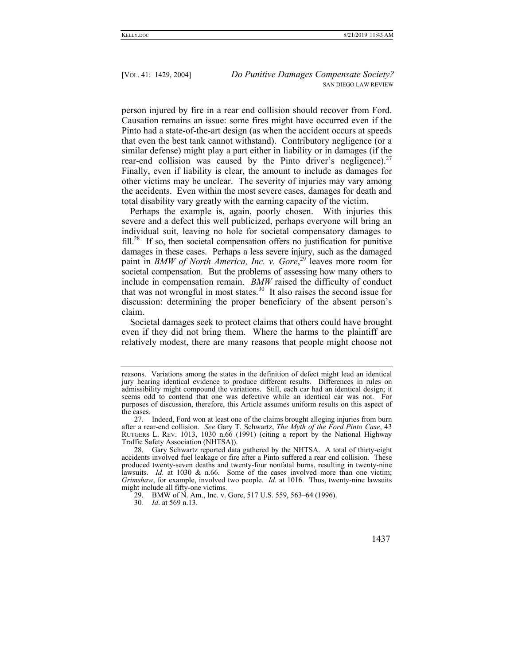person injured by fire in a rear end collision should recover from Ford. Causation remains an issue: some fires might have occurred even if the Pinto had a state-of-the-art design (as when the accident occurs at speeds that even the best tank cannot withstand). Contributory negligence (or a similar defense) might play a part either in liability or in damages (if the rear-end collision was caused by the Pinto driver's negligence).<sup>27</sup> Finally, even if liability is clear, the amount to include as damages for other victims may be unclear. The severity of injuries may vary among the accidents. Even within the most severe cases, damages for death and total disability vary greatly with the earning capacity of the victim.

Perhaps the example is, again, poorly chosen. With injuries this severe and a defect this well publicized, perhaps everyone will bring an individual suit, leaving no hole for societal compensatory damages to fill.<sup>28</sup> If so, then societal compensation offers no justification for punitive damages in these cases. Perhaps a less severe injury, such as the damaged paint in *BMW of North America, Inc. v. Gore*, 29 leaves more room for societal compensation. But the problems of assessing how many others to include in compensation remain. *BMW* raised the difficulty of conduct that was not wrongful in most states.<sup>30</sup> It also raises the second issue for discussion: determining the proper beneficiary of the absent person's claim.

Societal damages seek to protect claims that others could have brought even if they did not bring them. Where the harms to the plaintiff are relatively modest, there are many reasons that people might choose not

reasons. Variations among the states in the definition of defect might lead an identical jury hearing identical evidence to produce different results. Differences in rules on admissibility might compound the variations. Still, each car had an identical design; it seems odd to contend that one was defective while an identical car was not. For purposes of discussion, therefore, this Article assumes uniform results on this aspect of the cases.

 <sup>27.</sup> Indeed, Ford won at least one of the claims brought alleging injuries from burn after a rear-end collision. *See* Gary T. Schwartz, *The Myth of the Ford Pinto Case*, 43 RUTGERS L. REV. 1013, 1030 n.66 (1991) (citing a report by the National Highway Traffic Safety Association (NHTSA)).

 <sup>28.</sup> Gary Schwartz reported data gathered by the NHTSA. A total of thirty-eight accidents involved fuel leakage or fire after a Pinto suffered a rear end collision. These produced twenty-seven deaths and twenty-four nonfatal burns, resulting in twenty-nine lawsuits. *Id*. at 1030 & n.66. Some of the cases involved more than one victim; *Grimshaw*, for example, involved two people. *Id*. at 1016. Thus, twenty-nine lawsuits might include all fifty-one victims.

<sup>29.</sup> BMW of N. Am., Inc. v. Gore, 517 U.S. 559, 563–64 (1996).

<sup>30</sup>*. Id*. at 569 n.13.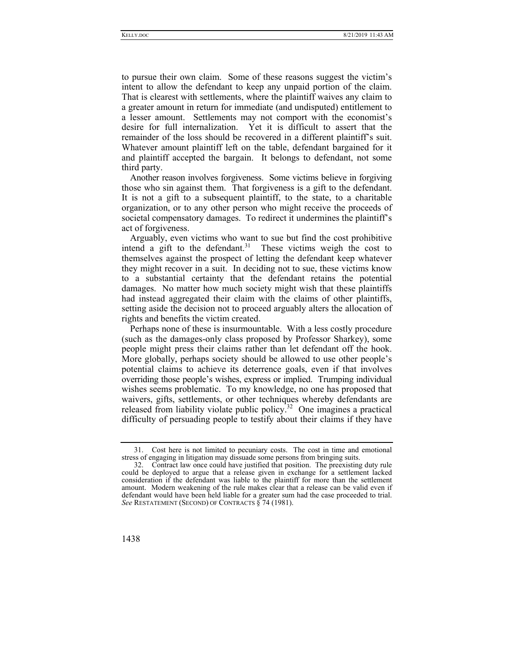to pursue their own claim. Some of these reasons suggest the victim's intent to allow the defendant to keep any unpaid portion of the claim. That is clearest with settlements, where the plaintiff waives any claim to a greater amount in return for immediate (and undisputed) entitlement to a lesser amount. Settlements may not comport with the economist's desire for full internalization. Yet it is difficult to assert that the remainder of the loss should be recovered in a different plaintiff's suit. Whatever amount plaintiff left on the table, defendant bargained for it and plaintiff accepted the bargain. It belongs to defendant, not some third party.

Another reason involves forgiveness. Some victims believe in forgiving those who sin against them. That forgiveness is a gift to the defendant. It is not a gift to a subsequent plaintiff, to the state, to a charitable organization, or to any other person who might receive the proceeds of societal compensatory damages. To redirect it undermines the plaintiff's act of forgiveness.

Arguably, even victims who want to sue but find the cost prohibitive intend a gift to the defendant.<sup>31</sup> These victims weigh the cost to themselves against the prospect of letting the defendant keep whatever they might recover in a suit. In deciding not to sue, these victims know to a substantial certainty that the defendant retains the potential damages. No matter how much society might wish that these plaintiffs had instead aggregated their claim with the claims of other plaintiffs, setting aside the decision not to proceed arguably alters the allocation of rights and benefits the victim created.

Perhaps none of these is insurmountable. With a less costly procedure (such as the damages-only class proposed by Professor Sharkey), some people might press their claims rather than let defendant off the hook. More globally, perhaps society should be allowed to use other people's potential claims to achieve its deterrence goals, even if that involves overriding those people's wishes, express or implied. Trumping individual wishes seems problematic. To my knowledge, no one has proposed that waivers, gifts, settlements, or other techniques whereby defendants are released from liability violate public policy.<sup>32</sup> One imagines a practical difficulty of persuading people to testify about their claims if they have

 <sup>32.</sup> Contract law once could have justified that position. The preexisting duty rule could be deployed to argue that a release given in exchange for a settlement lacked consideration if the defendant was liable to the plaintiff for more than the settlement amount. Modern weakening of the rule makes clear that a release can be valid even if defendant would have been held liable for a greater sum had the case proceeded to trial. *See* RESTATEMENT (SECOND) OF CONTRACTS § 74 (1981).



 <sup>31.</sup> Cost here is not limited to pecuniary costs. The cost in time and emotional stress of engaging in litigation may dissuade some persons from bringing suits.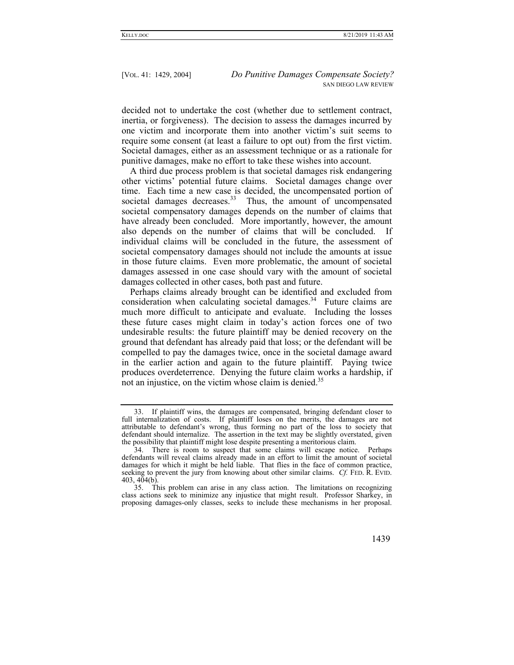decided not to undertake the cost (whether due to settlement contract, inertia, or forgiveness). The decision to assess the damages incurred by one victim and incorporate them into another victim's suit seems to require some consent (at least a failure to opt out) from the first victim. Societal damages, either as an assessment technique or as a rationale for punitive damages, make no effort to take these wishes into account.

A third due process problem is that societal damages risk endangering other victims' potential future claims. Societal damages change over time. Each time a new case is decided, the uncompensated portion of societal damages decreases.<sup>33</sup> Thus, the amount of uncompensated societal compensatory damages depends on the number of claims that have already been concluded. More importantly, however, the amount also depends on the number of claims that will be concluded. If individual claims will be concluded in the future, the assessment of societal compensatory damages should not include the amounts at issue in those future claims. Even more problematic, the amount of societal damages assessed in one case should vary with the amount of societal damages collected in other cases, both past and future.

Perhaps claims already brought can be identified and excluded from consideration when calculating societal damages. $34$  Future claims are much more difficult to anticipate and evaluate. Including the losses these future cases might claim in today's action forces one of two undesirable results: the future plaintiff may be denied recovery on the ground that defendant has already paid that loss; or the defendant will be compelled to pay the damages twice, once in the societal damage award in the earlier action and again to the future plaintiff. Paying twice produces overdeterrence. Denying the future claim works a hardship, if not an injustice, on the victim whose claim is denied.<sup>35</sup>

 <sup>33.</sup> If plaintiff wins, the damages are compensated, bringing defendant closer to full internalization of costs. If plaintiff loses on the merits, the damages are not attributable to defendant's wrong, thus forming no part of the loss to society that defendant should internalize. The assertion in the text may be slightly overstated, given the possibility that plaintiff might lose despite presenting a meritorious claim.

 <sup>34.</sup> There is room to suspect that some claims will escape notice. Perhaps defendants will reveal claims already made in an effort to limit the amount of societal damages for which it might be held liable. That flies in the face of common practice, seeking to prevent the jury from knowing about other similar claims. *Cf.* FED. R. EVID.  $403, 404(b)$ .

 <sup>35.</sup> This problem can arise in any class action. The limitations on recognizing class actions seek to minimize any injustice that might result. Professor Sharkey, in proposing damages-only classes, seeks to include these mechanisms in her proposal.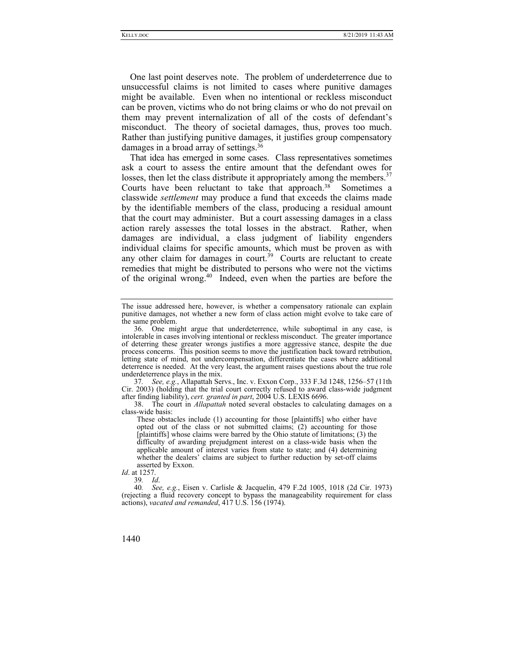One last point deserves note. The problem of underdeterrence due to unsuccessful claims is not limited to cases where punitive damages might be available. Even when no intentional or reckless misconduct can be proven, victims who do not bring claims or who do not prevail on them may prevent internalization of all of the costs of defendant's misconduct. The theory of societal damages, thus, proves too much. Rather than justifying punitive damages, it justifies group compensatory damages in a broad array of settings.36

That idea has emerged in some cases. Class representatives sometimes ask a court to assess the entire amount that the defendant owes for losses, then let the class distribute it appropriately among the members.<sup>37</sup> Courts have been reluctant to take that approach.<sup>38</sup> Sometimes a classwide *settlement* may produce a fund that exceeds the claims made by the identifiable members of the class, producing a residual amount that the court may administer. But a court assessing damages in a class action rarely assesses the total losses in the abstract. Rather, when damages are individual, a class judgment of liability engenders individual claims for specific amounts, which must be proven as with any other claim for damages in court.<sup>39</sup> Courts are reluctant to create remedies that might be distributed to persons who were not the victims of the original wrong.40 Indeed, even when the parties are before the

37*. See, e.g.*, Allapattah Servs., Inc. v. Exxon Corp., 333 F.3d 1248, 1256–57 (11th Cir. 2003) (holding that the trial court correctly refused to award class-wide judgment after finding liability), *cert. granted in part*, 2004 U.S. LEXIS 6696.

 38. The court in *Allapattah* noted several obstacles to calculating damages on a class-wide basis:

These obstacles include (1) accounting for those [plaintiffs] who either have opted out of the class or not submitted claims; (2) accounting for those [plaintiffs] whose claims were barred by the Ohio statute of limitations; (3) the difficulty of awarding prejudgment interest on a class-wide basis when the applicable amount of interest varies from state to state; and (4) determining whether the dealers' claims are subject to further reduction by set-off claims asserted by Exxon.

*Id*. at 1257.

39*. Id*.

The issue addressed here, however, is whether a compensatory rationale can explain punitive damages, not whether a new form of class action might evolve to take care of the same problem.

 <sup>36.</sup> One might argue that underdeterrence, while suboptimal in any case, is intolerable in cases involving intentional or reckless misconduct. The greater importance of deterring these greater wrongs justifies a more aggressive stance, despite the due process concerns. This position seems to move the justification back toward retribution, letting state of mind, not undercompensation, differentiate the cases where additional deterrence is needed. At the very least, the argument raises questions about the true role underdeterrence plays in the mix.

<sup>40</sup>*. See, e.g.*, Eisen v. Carlisle & Jacquelin, 479 F.2d 1005, 1018 (2d Cir. 1973) (rejecting a fluid recovery concept to bypass the manageability requirement for class actions), *vacated and remanded*, 417 U.S. 156 (1974).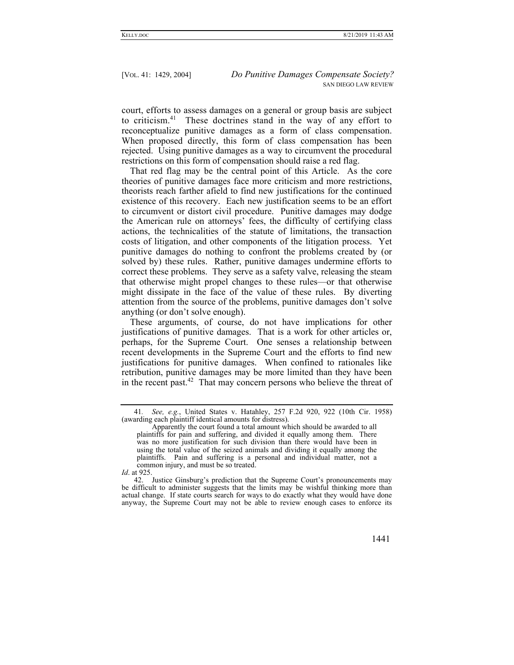court, efforts to assess damages on a general or group basis are subject to criticism.41 These doctrines stand in the way of any effort to reconceptualize punitive damages as a form of class compensation. When proposed directly, this form of class compensation has been rejected. Using punitive damages as a way to circumvent the procedural restrictions on this form of compensation should raise a red flag.

That red flag may be the central point of this Article. As the core theories of punitive damages face more criticism and more restrictions, theorists reach farther afield to find new justifications for the continued existence of this recovery. Each new justification seems to be an effort to circumvent or distort civil procedure. Punitive damages may dodge the American rule on attorneys' fees, the difficulty of certifying class actions, the technicalities of the statute of limitations, the transaction costs of litigation, and other components of the litigation process. Yet punitive damages do nothing to confront the problems created by (or solved by) these rules. Rather, punitive damages undermine efforts to correct these problems. They serve as a safety valve, releasing the steam that otherwise might propel changes to these rules—or that otherwise might dissipate in the face of the value of these rules. By diverting attention from the source of the problems, punitive damages don't solve anything (or don't solve enough).

These arguments, of course, do not have implications for other justifications of punitive damages. That is a work for other articles or, perhaps, for the Supreme Court. One senses a relationship between recent developments in the Supreme Court and the efforts to find new justifications for punitive damages. When confined to rationales like retribution, punitive damages may be more limited than they have been in the recent past.<sup>42</sup> That may concern persons who believe the threat of

*Id*. at 925.

<sup>41</sup>*. See, e.g.*, United States v. Hatahley, 257 F.2d 920, 922 (10th Cir. 1958) (awarding each plaintiff identical amounts for distress).

Apparently the court found a total amount which should be awarded to all plaintiffs for pain and suffering, and divided it equally among them. There was no more justification for such division than there would have been in using the total value of the seized animals and dividing it equally among the plaintiffs. Pain and suffering is a personal and individual matter, not a common injury, and must be so treated.

 <sup>42.</sup> Justice Ginsburg's prediction that the Supreme Court's pronouncements may be difficult to administer suggests that the limits may be wishful thinking more than actual change. If state courts search for ways to do exactly what they would have done anyway, the Supreme Court may not be able to review enough cases to enforce its